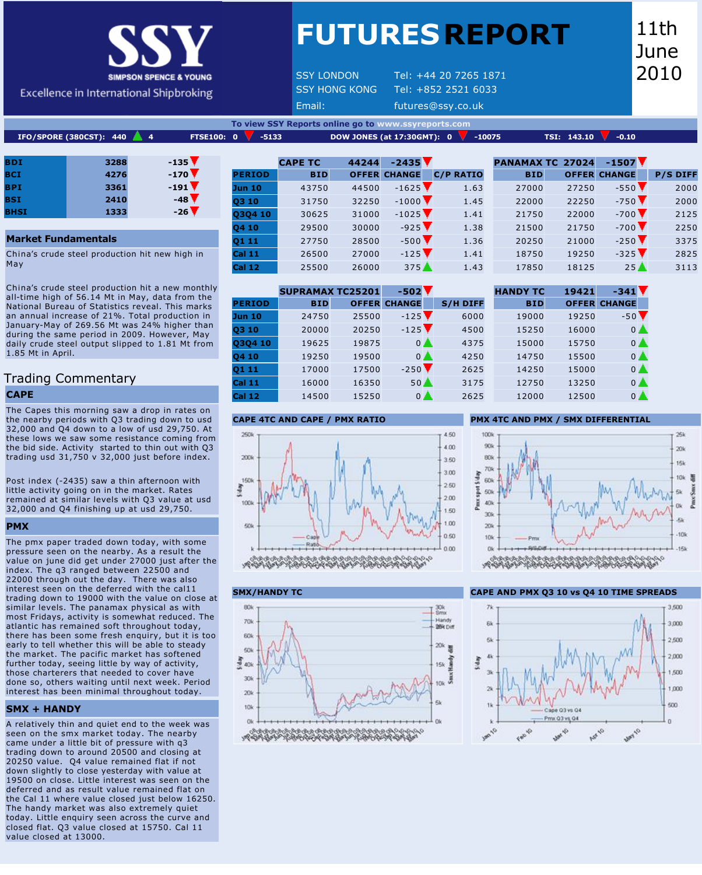

# **FUTURESREPORT** 11th

SSY LONDON Tel: +44 20 7265 1871<br>SSY HONG KONG Tel: +852 2521 6033 Tel: +852 2521 6033 Email: [futures@ssy.co.uk](mailto:futures@ssy.co.uk)

**CAPE TC 44244 2435 PANAMAX TC 27024 1507 PERIOD BID OFFER CHANGE C/P RATIO BID OFFER CHANGE P/S DIFF Jun 10** 43750 44500 -1625 1.63 27000 27250 -550 2000 **Q3 10** 31750 32250 -1000 1.45 22000 22250 -750 2000 **Q3Q4 10** 30625 31000 -1025 1.41 21750 22000 -700 2125 **Q4 10** 29500 30000 -925 1.38 21500 21750 -700 2250 **Q1 11** 27750 28500 -500 1.36 20250 21000 -250 3375 **Cal 11** 26500 27000 -125 1.41 18750 19250 -325 2825 **Cal 12** 25500 26000 375▲ 1.43 17850 18125 25▲ 3113

June

**To view SSY Reports online go to [www.ssyreports.com](http://www.ssyreports.com/) IFO/SPORE (380CST): 440 4 FTSE100: 0 5133 DOW JONES (at 17:30GMT): 0 10075 TSI: 143.10 0.10**

| <b>BDI</b>  | 3288 | $-135$ $\sqrt{ }$           |
|-------------|------|-----------------------------|
| <b>BCI</b>  | 4276 | $-170$ $V$                  |
| <b>BPI</b>  | 3361 | $-191$ $\blacktriangledown$ |
| <b>BSI</b>  | 2410 | $-48'$                      |
| <b>BHSI</b> | 1333 | $-26$                       |
|             |      |                             |

#### **Market Fundamentals**

China's crude steel production hit new high in May

China's crude steel production hit a new monthly all-time high of 56.14 Mt in May, data from the National Bureau of Statistics reveal. This marks an annual increase of 21%. Total production in January-May of 269.56 Mt was 24% higher than during the same period in 2009. However, May daily crude steel output slipped to 1.81 Mt from 1.85 Mt in April.

## Trading Commentary **CAPE**

The Capes this morning saw a drop in rates on the nearby periods with Q3 trading down to usd 32,000 and Q4 down to a low of usd 29,750. At these lows we saw some resistance coming from the bid side. Activity started to thin out with Q3 trading usd 31,750 v 32,000 just before index.

Post index (-2435) saw a thin afternoon with little activity going on in the market. Rates remained at similar levels with Q3 value at usd 32,000 and Q4 finishing up at usd 29,750.

#### **PMX**

The pmx paper traded down today, with some pressure seen on the nearby. As a result the value on june did get under 27000 just after the index. The q3 ranged between 22500 and 22000 through out the day. There was also interest seen on the deferred with the cal11 trading down to 19000 with the value on close at similar levels. The panamax physical as with most Fridays, activity is somewhat reduced. The atlantic has remained soft throughout today, there has been some fresh enquiry, but it is too early to tell whether this will be able to steady the market. The pacific market has softened further today, seeing little by way of activity, those charterers that needed to cover have done so, others waiting until next week. Period interest has been minimal throughout today.

### **SMX + HANDY**

A relatively thin and quiet end to the week was seen on the smx market today. The nearby came under a little bit of pressure with q3 trading down to around 20500 and closing at 20250 value. O4 value remained flat if not down slightly to close yesterday with value at 19500 on close. Little interest was seen on the deferred and as result value remained flat on the Cal 11 where value closed just below 16250. The handy market was also extremely quiet today. Little enquiry seen across the curve and closed flat. Q3 value closed at 15750. Cal 11 value closed at 13000.

|               | <b>SUPRAMAX TC25201</b> |              | $-502$ V                    |                 | <b>HANDY TC</b> | 19421        | $-341V$                    |
|---------------|-------------------------|--------------|-----------------------------|-----------------|-----------------|--------------|----------------------------|
| <b>PERIOD</b> | <b>BID</b>              | <b>OFFER</b> | <b>CHANGE</b>               | <b>S/H DIFF</b> | <b>BID</b>      | <b>OFFER</b> | <b>CHANGE</b>              |
| <b>Jun 10</b> | 24750                   | 25500        | $-125$ $\blacktriangledown$ | 6000            | 19000           | 19250        | $-50$ $\blacktriangledown$ |
| Q3 10         | 20000                   | 20250        | $-125$ $\blacktriangledown$ | 4500            | 15250           | 16000        | 0 <sub>A</sub>             |
| Q3Q4 10       | 19625                   | 19875        | 0 <sub>h</sub>              | 4375            | 15000           | 15750        | 0 <sub>A</sub>             |
| Q4 10         | 19250                   | 19500        | 0 <sub>h</sub>              | 4250            | 14750           | 15500        | 0 <sub>A</sub>             |
| Q1 11         | 17000                   | 17500        | $-250$ $\blacktriangledown$ | 2625            | 14250           | 15000        | 0 <sub>A</sub>             |
| <b>Cal 11</b> | 16000                   | 16350        | 50 <sub>4</sub>             | 3175            | 12750           | 13250        | 0 <sub>1</sub>             |
| <b>Cal 12</b> | 14500                   | 15250        | 0/                          | 2625            | 12000           | 12500        | 0/                         |

#### **CAPE 4TC AND CAPE / PMX RATIO PMX 4TC AND PMX / SMX DIFFERENTIAL**